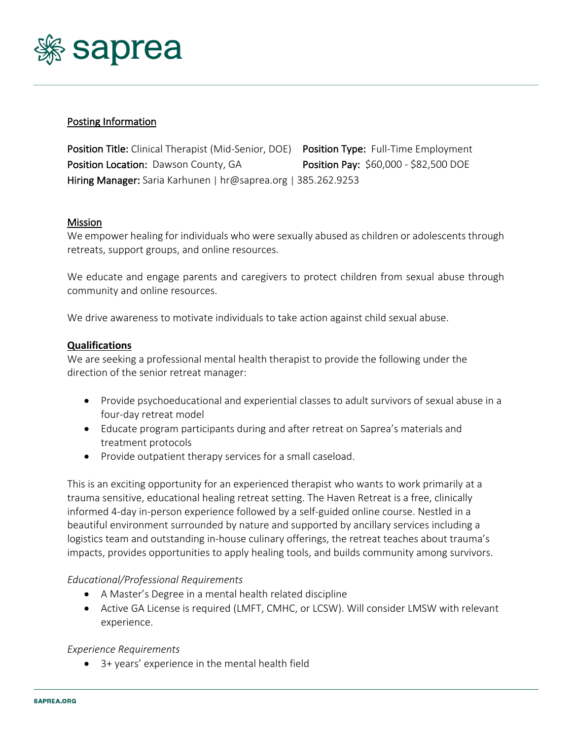

# Posting Information

Position Title: Clinical Therapist (Mid-Senior, DOE) Position Type: Full-Time Employment Position Location: Dawson County, GA Position Pay: \$60,000 - \$82,500 DOE Hiring Manager: Saria Karhunen | hr@saprea.org | 385.262.9253

### Mission

We empower healing for individuals who were sexually abused as children or adolescents through retreats, support groups, and online resources.

We educate and engage parents and caregivers to protect children from sexual abuse through community and online resources.

We drive awareness to motivate individuals to take action against child sexual abuse.

### **Qualifications**

We are seeking a professional mental health therapist to provide the following under the direction of the senior retreat manager:

- Provide psychoeducational and experiential classes to adult survivors of sexual abuse in a four-day retreat model
- Educate program participants during and after retreat on Saprea's materials and treatment protocols
- Provide outpatient therapy services for a small caseload.

This is an exciting opportunity for an experienced therapist who wants to work primarily at a trauma sensitive, educational healing retreat setting. The Haven Retreat is a free, clinically informed 4-day in-person experience followed by a self-guided online course. Nestled in a beautiful environment surrounded by nature and supported by ancillary services including a logistics team and outstanding in-house culinary offerings, the retreat teaches about trauma's impacts, provides opportunities to apply healing tools, and builds community among survivors.

### *Educational/Professional Requirements*

- A Master's Degree in a mental health related discipline
- Active GA License is required (LMFT, CMHC, or LCSW). Will consider LMSW with relevant experience.

### *Experience Requirements*

• 3+ years' experience in the mental health field